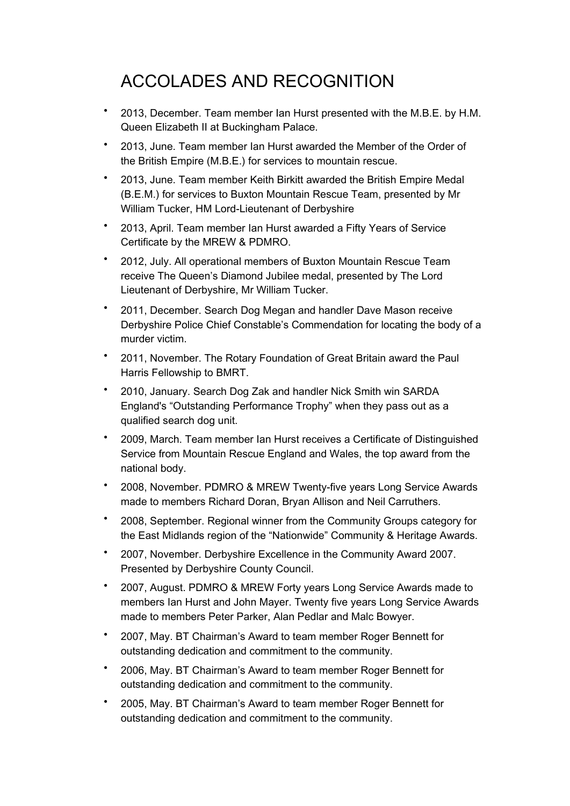## ACCOLADES AND RECOGNITION

- 2013, December. Team member Ian Hurst presented with the M.B.E. by H.M. Queen Elizabeth II at Buckingham Palace.
- 2013, June. Team member Ian Hurst awarded the Member of the Order of the British Empire (M.B.E.) for services to mountain rescue.
- 2013, June. Team member Keith Birkitt awarded the British Empire Medal (B.E.M.) for services to Buxton Mountain Rescue Team, presented by Mr William Tucker, HM Lord-Lieutenant of Derbyshire
- 2013, April. Team member Ian Hurst awarded a Fifty Years of Service Certificate by the MREW & PDMRO.
- 2012, July. All operational members of Buxton Mountain Rescue Team receive The Queen's Diamond Jubilee medal, presented by The Lord Lieutenant of Derbyshire, Mr William Tucker.
- 2011, December. Search Dog Megan and handler Dave Mason receive Derbyshire Police Chief Constable's Commendation for locating the body of a murder victim.
- 2011, November. The Rotary Foundation of Great Britain award the Paul Harris Fellowship to BMRT.
- 2010, January. Search Dog Zak and handler Nick Smith win SARDA England's "Outstanding Performance Trophy" when they pass out as a qualified search dog unit.
- 2009, March. Team member Ian Hurst receives a Certificate of Distinguished Service from Mountain Rescue England and Wales, the top award from the national body.
- 2008, November. PDMRO & MREW Twenty-five years Long Service Awards made to members Richard Doran, Bryan Allison and Neil Carruthers.
- 2008, September. Regional winner from the Community Groups category for the East Midlands region of the "Nationwide" Community & Heritage Awards.
- 2007, November. Derbyshire Excellence in the Community Award 2007. Presented by Derbyshire County Council.
- 2007, August. PDMRO & MREW Forty years Long Service Awards made to members Ian Hurst and John Mayer. Twenty five years Long Service Awards made to members Peter Parker, Alan Pedlar and Malc Bowyer.
- 2007, May. BT Chairman's Award to team member Roger Bennett for outstanding dedication and commitment to the community.
- 2006, May. BT Chairman's Award to team member Roger Bennett for outstanding dedication and commitment to the community.
- 2005, May. BT Chairman's Award to team member Roger Bennett for outstanding dedication and commitment to the community.